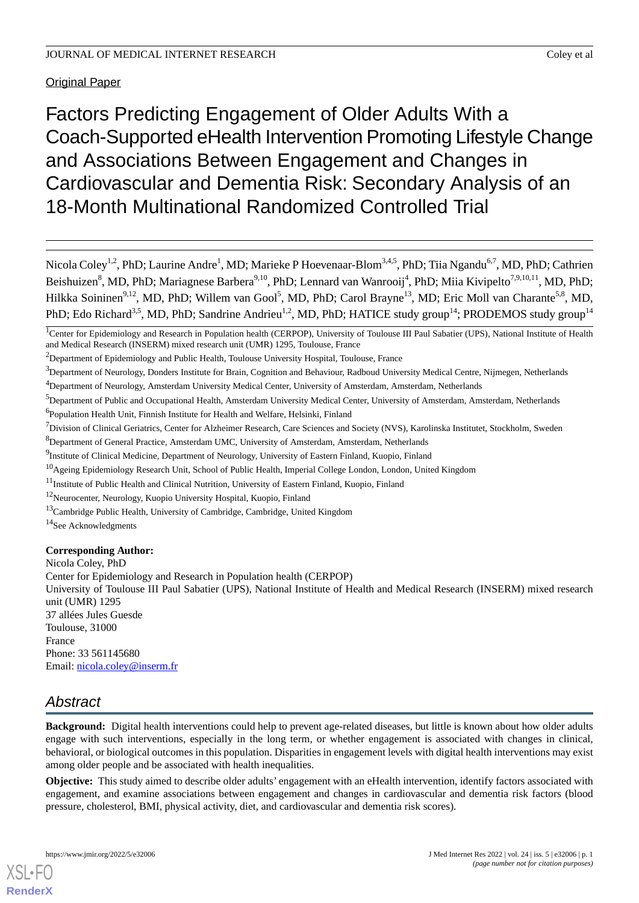# Original Paper

Factors Predicting Engagement of Older Adults With a Coach-Supported eHealth Intervention Promoting Lifestyle Change and Associations Between Engagement and Changes in Cardiovascular and Dementia Risk: Secondary Analysis of an 18-Month Multinational Randomized Controlled Trial

Nicola Coley<sup>1,2</sup>, PhD; Laurine Andre<sup>1</sup>, MD; Marieke P Hoevenaar-Blom<sup>3,4,5</sup>, PhD; Tiia Ngandu<sup>6,7</sup>, MD, PhD; Cathrien Beishuizen<sup>8</sup>, MD, PhD; Mariagnese Barbera<sup>9,10</sup>, PhD; Lennard van Wanrooij<sup>4</sup>, PhD; Miia Kivipelto<sup>7,9,10,11</sup>, MD, PhD; Hilkka Soininen<sup>9,12</sup>, MD, PhD; Willem van Gool<sup>5</sup>, MD, PhD; Carol Brayne<sup>13</sup>, MD; Eric Moll van Charante<sup>5,8</sup>, MD, PhD; Edo Richard<sup>3,5</sup>, MD, PhD; Sandrine Andrieu<sup>1,2</sup>, MD, PhD; HATICE study group<sup>14</sup>; PRODEMOS study group<sup>14</sup>

<sup>2</sup>Department of Epidemiology and Public Health, Toulouse University Hospital, Toulouse, France

<sup>4</sup>Department of Neurology, Amsterdam University Medical Center, University of Amsterdam, Amsterdam, Netherlands

- <sup>6</sup>Population Health Unit, Finnish Institute for Health and Welfare, Helsinki, Finland
- $<sup>7</sup>$ Division of Clinical Geriatrics, Center for Alzheimer Research, Care Sciences and Society (NVS), Karolinska Institutet, Stockholm, Sweden</sup>
- <sup>8</sup>Department of General Practice, Amsterdam UMC, University of Amsterdam, Amsterdam, Netherlands
- <sup>9</sup>Institute of Clinical Medicine, Department of Neurology, University of Eastern Finland, Kuopio, Finland
- <sup>10</sup>Ageing Epidemiology Research Unit, School of Public Health, Imperial College London, London, United Kingdom
- <sup>11</sup>Institute of Public Health and Clinical Nutrition, University of Eastern Finland, Kuopio, Finland
- <sup>12</sup>Neurocenter, Neurology, Kuopio University Hospital, Kuopio, Finland
- <sup>13</sup>Cambridge Public Health, University of Cambridge, Cambridge, United Kingdom
- <sup>14</sup>See Acknowledgments

## **Corresponding Author:**

Nicola Coley, PhD

Center for Epidemiology and Research in Population health (CERPOP)

University of Toulouse III Paul Sabatier (UPS), National Institute of Health and Medical Research (INSERM) mixed research unit (UMR) 1295

37 allées Jules Guesde Toulouse, 31000 France Phone: 33 561145680 Email: [nicola.coley@inserm.fr](mailto:nicola.coley@inserm.fr)

# *Abstract*

**Background:** Digital health interventions could help to prevent age-related diseases, but little is known about how older adults engage with such interventions, especially in the long term, or whether engagement is associated with changes in clinical, behavioral, or biological outcomes in this population. Disparities in engagement levels with digital health interventions may exist among older people and be associated with health inequalities.

**Objective:** This study aimed to describe older adults' engagement with an eHealth intervention, identify factors associated with engagement, and examine associations between engagement and changes in cardiovascular and dementia risk factors (blood pressure, cholesterol, BMI, physical activity, diet, and cardiovascular and dementia risk scores).

<sup>&</sup>lt;sup>1</sup>Center for Epidemiology and Research in Population health (CERPOP), University of Toulouse III Paul Sabatier (UPS), National Institute of Health and Medical Research (INSERM) mixed research unit (UMR) 1295, Toulouse, France

 $3$ Department of Neurology, Donders Institute for Brain, Cognition and Behaviour, Radboud University Medical Centre, Nijmegen, Netherlands

<sup>&</sup>lt;sup>5</sup>Department of Public and Occupational Health, Amsterdam University Medical Center, University of Amsterdam, Amsterdam, Netherlands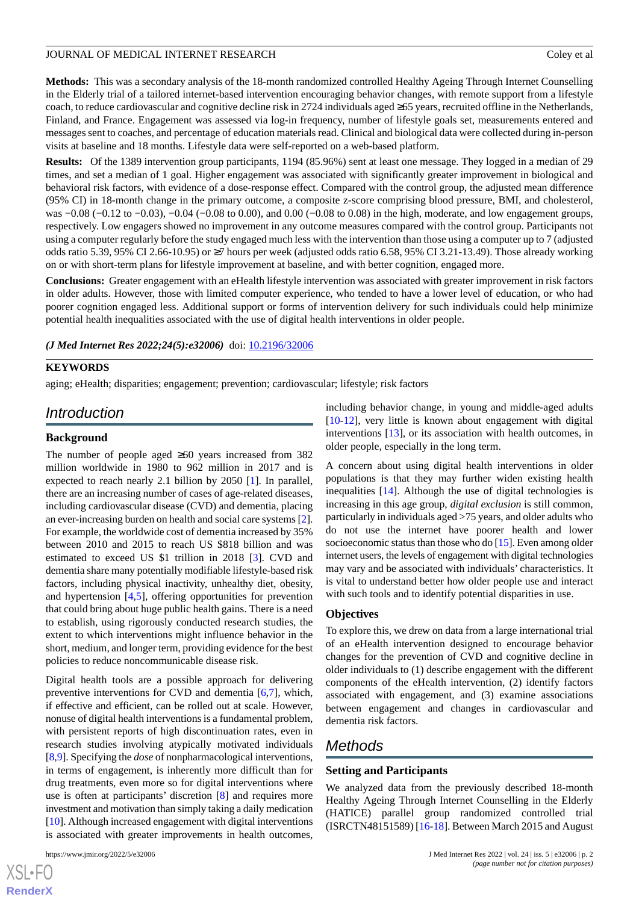**Methods:** This was a secondary analysis of the 18-month randomized controlled Healthy Ageing Through Internet Counselling in the Elderly trial of a tailored internet-based intervention encouraging behavior changes, with remote support from a lifestyle coach, to reduce cardiovascular and cognitive decline risk in 2724 individuals aged ≥65 years, recruited offline in the Netherlands, Finland, and France. Engagement was assessed via log-in frequency, number of lifestyle goals set, measurements entered and messages sent to coaches, and percentage of education materials read. Clinical and biological data were collected during in-person visits at baseline and 18 months. Lifestyle data were self-reported on a web-based platform.

**Results:** Of the 1389 intervention group participants, 1194 (85.96%) sent at least one message. They logged in a median of 29 times, and set a median of 1 goal. Higher engagement was associated with significantly greater improvement in biological and behavioral risk factors, with evidence of a dose-response effect. Compared with the control group, the adjusted mean difference (95% CI) in 18-month change in the primary outcome, a composite z-score comprising blood pressure, BMI, and cholesterol, was −0.08 (−0.12 to −0.03), −0.04 (−0.08 to 0.00), and 0.00 (−0.08 to 0.08) in the high, moderate, and low engagement groups, respectively. Low engagers showed no improvement in any outcome measures compared with the control group. Participants not using a computer regularly before the study engaged much less with the intervention than those using a computer up to 7 (adjusted odds ratio 5.39, 95% CI 2.66-10.95) or  $\geq$ 7 hours per week (adjusted odds ratio 6.58, 95% CI 3.21-13.49). Those already working on or with short-term plans for lifestyle improvement at baseline, and with better cognition, engaged more.

**Conclusions:** Greater engagement with an eHealth lifestyle intervention was associated with greater improvement in risk factors in older adults. However, those with limited computer experience, who tended to have a lower level of education, or who had poorer cognition engaged less. Additional support or forms of intervention delivery for such individuals could help minimize potential health inequalities associated with the use of digital health interventions in older people.

(*J Med Internet Res 2022;24(5):e32006*) doi: **[10.2196/32006](http://dx.doi.org/10.2196/32006)** 

#### **KEYWORDS**

aging; eHealth; disparities; engagement; prevention; cardiovascular; lifestyle; risk factors

# *Introduction*

#### **Background**

The number of people aged ≥60 years increased from 382 million worldwide in 1980 to 962 million in 2017 and is expected to reach nearly 2.1 billion by 2050 [[1\]](#page-13-0). In parallel, there are an increasing number of cases of age-related diseases, including cardiovascular disease (CVD) and dementia, placing an ever-increasing burden on health and social care systems [[2\]](#page-13-1). For example, the worldwide cost of dementia increased by 35% between 2010 and 2015 to reach US \$818 billion and was estimated to exceed US \$1 trillion in 2018 [[3\]](#page-13-2). CVD and dementia share many potentially modifiable lifestyle-based risk factors, including physical inactivity, unhealthy diet, obesity, and hypertension [\[4](#page-13-3),[5\]](#page-13-4), offering opportunities for prevention that could bring about huge public health gains. There is a need to establish, using rigorously conducted research studies, the extent to which interventions might influence behavior in the short, medium, and longer term, providing evidence for the best policies to reduce noncommunicable disease risk.

Digital health tools are a possible approach for delivering preventive interventions for CVD and dementia [\[6](#page-13-5),[7\]](#page-13-6), which, if effective and efficient, can be rolled out at scale. However, nonuse of digital health interventions is a fundamental problem, with persistent reports of high discontinuation rates, even in research studies involving atypically motivated individuals [[8](#page-13-7)[,9](#page-13-8)]. Specifying the *dose* of nonpharmacological interventions, in terms of engagement, is inherently more difficult than for drug treatments, even more so for digital interventions where use is often at participants' discretion [[8\]](#page-13-7) and requires more investment and motivation than simply taking a daily medication [[10\]](#page-13-9). Although increased engagement with digital interventions is associated with greater improvements in health outcomes,

[XSL](http://www.w3.org/Style/XSL)•FO **[RenderX](http://www.renderx.com/)** including behavior change, in young and middle-aged adults [[10](#page-13-9)[-12](#page-13-10)], very little is known about engagement with digital interventions [\[13](#page-13-11)], or its association with health outcomes, in older people, especially in the long term.

A concern about using digital health interventions in older populations is that they may further widen existing health inequalities [[14\]](#page-13-12). Although the use of digital technologies is increasing in this age group, *digital exclusion* is still common, particularly in individuals aged >75 years, and older adults who do not use the internet have poorer health and lower socioeconomic status than those who do [\[15](#page-13-13)]. Even among older internet users, the levels of engagement with digital technologies may vary and be associated with individuals' characteristics. It is vital to understand better how older people use and interact with such tools and to identify potential disparities in use.

### **Objectives**

To explore this, we drew on data from a large international trial of an eHealth intervention designed to encourage behavior changes for the prevention of CVD and cognitive decline in older individuals to (1) describe engagement with the different components of the eHealth intervention, (2) identify factors associated with engagement, and (3) examine associations between engagement and changes in cardiovascular and dementia risk factors.

# *Methods*

## **Setting and Participants**

We analyzed data from the previously described 18-month Healthy Ageing Through Internet Counselling in the Elderly (HATICE) parallel group randomized controlled trial (ISRCTN48151589) [[16-](#page-13-14)[18\]](#page-14-0). Between March 2015 and August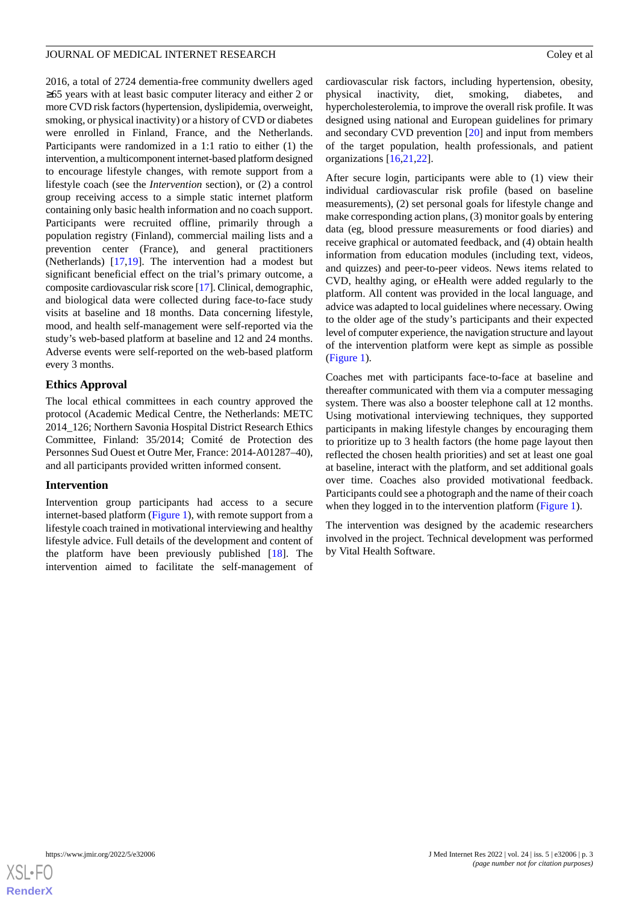2016, a total of 2724 dementia-free community dwellers aged ≥65 years with at least basic computer literacy and either 2 or more CVD risk factors (hypertension, dyslipidemia, overweight, smoking, or physical inactivity) or a history of CVD or diabetes were enrolled in Finland, France, and the Netherlands. Participants were randomized in a 1:1 ratio to either (1) the intervention, a multicomponent internet-based platform designed to encourage lifestyle changes, with remote support from a lifestyle coach (see the *Intervention* section), or (2) a control group receiving access to a simple static internet platform containing only basic health information and no coach support. Participants were recruited offline, primarily through a population registry (Finland), commercial mailing lists and a prevention center (France), and general practitioners (Netherlands) [\[17](#page-14-1),[19\]](#page-14-2). The intervention had a modest but significant beneficial effect on the trial's primary outcome, a composite cardiovascular risk score [\[17](#page-14-1)]. Clinical, demographic, and biological data were collected during face-to-face study visits at baseline and 18 months. Data concerning lifestyle, mood, and health self-management were self-reported via the study's web-based platform at baseline and 12 and 24 months. Adverse events were self-reported on the web-based platform every 3 months.

### **Ethics Approval**

The local ethical committees in each country approved the protocol (Academic Medical Centre, the Netherlands: METC 2014\_126; Northern Savonia Hospital District Research Ethics Committee, Finland: 35/2014; Comité de Protection des Personnes Sud Ouest et Outre Mer, France: 2014-A01287–40), and all participants provided written informed consent.

### **Intervention**

Intervention group participants had access to a secure internet-based platform ([Figure 1\)](#page-3-0), with remote support from a lifestyle coach trained in motivational interviewing and healthy lifestyle advice. Full details of the development and content of the platform have been previously published [\[18](#page-14-0)]. The intervention aimed to facilitate the self-management of cardiovascular risk factors, including hypertension, obesity, physical inactivity, diet, smoking, diabetes, and hypercholesterolemia, to improve the overall risk profile. It was designed using national and European guidelines for primary and secondary CVD prevention [[20\]](#page-14-3) and input from members of the target population, health professionals, and patient organizations [\[16](#page-13-14),[21,](#page-14-4)[22](#page-14-5)].

After secure login, participants were able to (1) view their individual cardiovascular risk profile (based on baseline measurements), (2) set personal goals for lifestyle change and make corresponding action plans, (3) monitor goals by entering data (eg, blood pressure measurements or food diaries) and receive graphical or automated feedback, and (4) obtain health information from education modules (including text, videos, and quizzes) and peer-to-peer videos. News items related to CVD, healthy aging, or eHealth were added regularly to the platform. All content was provided in the local language, and advice was adapted to local guidelines where necessary. Owing to the older age of the study's participants and their expected level of computer experience, the navigation structure and layout of the intervention platform were kept as simple as possible ([Figure 1\)](#page-3-0).

Coaches met with participants face-to-face at baseline and thereafter communicated with them via a computer messaging system. There was also a booster telephone call at 12 months. Using motivational interviewing techniques, they supported participants in making lifestyle changes by encouraging them to prioritize up to 3 health factors (the home page layout then reflected the chosen health priorities) and set at least one goal at baseline, interact with the platform, and set additional goals over time. Coaches also provided motivational feedback. Participants could see a photograph and the name of their coach when they logged in to the intervention platform [\(Figure 1\)](#page-3-0).

The intervention was designed by the academic researchers involved in the project. Technical development was performed by Vital Health Software.

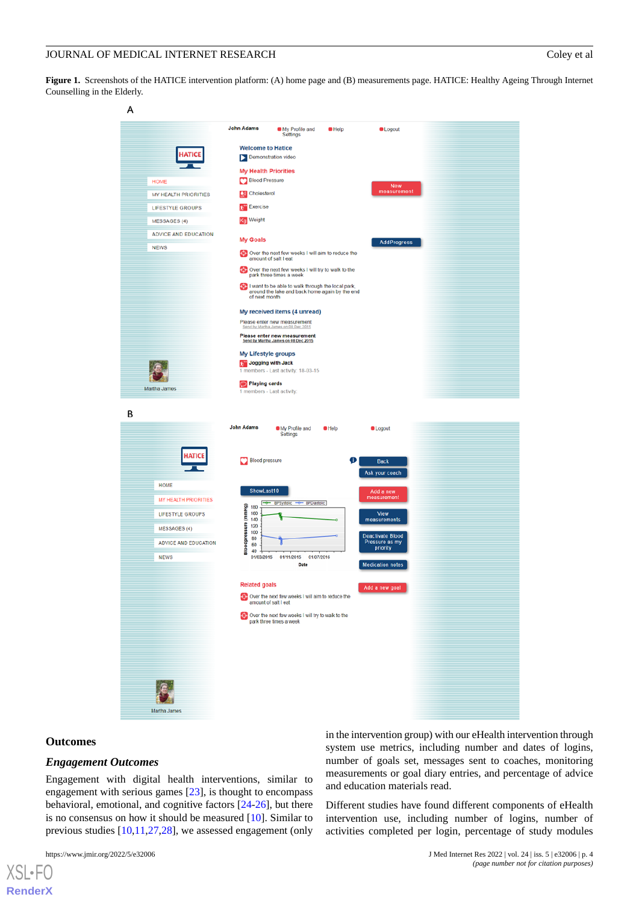<span id="page-3-0"></span>**Figure 1.** Screenshots of the HATICE intervention platform: (A) home page and (B) measurements page. HATICE: Healthy Ageing Through Internet Counselling in the Elderly.



#### **Outcomes**

[XSL](http://www.w3.org/Style/XSL)•FO **[RenderX](http://www.renderx.com/)**

### *Engagement Outcomes*

Engagement with digital health interventions, similar to engagement with serious games [\[23](#page-14-6)], is thought to encompass behavioral, emotional, and cognitive factors [[24-](#page-14-7)[26\]](#page-14-8), but there is no consensus on how it should be measured [\[10](#page-13-9)]. Similar to previous studies [\[10](#page-13-9),[11,](#page-13-15)[27](#page-14-9)[,28](#page-14-10)], we assessed engagement (only

in the intervention group) with our eHealth intervention through system use metrics, including number and dates of logins, number of goals set, messages sent to coaches, monitoring measurements or goal diary entries, and percentage of advice and education materials read.

Different studies have found different components of eHealth intervention use, including number of logins, number of activities completed per login, percentage of study modules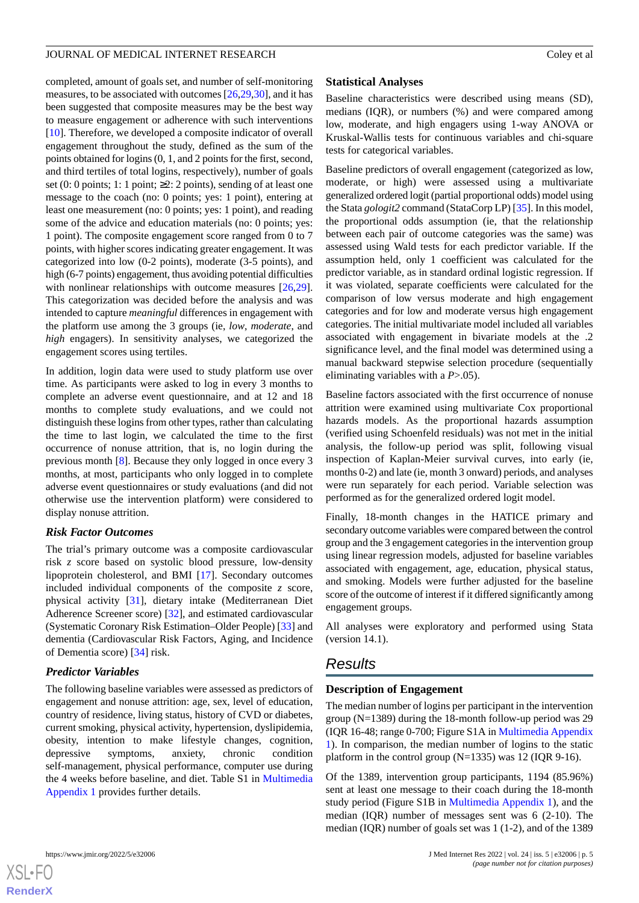completed, amount of goals set, and number of self-monitoring measures, to be associated with outcomes [[26,](#page-14-8)[29](#page-14-11),[30\]](#page-14-12), and it has been suggested that composite measures may be the best way to measure engagement or adherence with such interventions [[10\]](#page-13-9). Therefore, we developed a composite indicator of overall engagement throughout the study, defined as the sum of the points obtained for logins (0, 1, and 2 points for the first, second, and third tertiles of total logins, respectively), number of goals set (0: 0 points; 1: 1 point;  $\geq$  2: 2 points), sending of at least one message to the coach (no: 0 points; yes: 1 point), entering at least one measurement (no: 0 points; yes: 1 point), and reading some of the advice and education materials (no: 0 points; yes: 1 point). The composite engagement score ranged from 0 to 7 points, with higher scores indicating greater engagement. It was categorized into low (0-2 points), moderate (3-5 points), and high (6-7 points) engagement, thus avoiding potential difficulties with nonlinear relationships with outcome measures [\[26](#page-14-8),[29\]](#page-14-11). This categorization was decided before the analysis and was intended to capture *meaningful* differences in engagement with the platform use among the 3 groups (ie, *low*, *moderate*, and *high* engagers). In sensitivity analyses, we categorized the engagement scores using tertiles.

In addition, login data were used to study platform use over time. As participants were asked to log in every 3 months to complete an adverse event questionnaire, and at 12 and 18 months to complete study evaluations, and we could not distinguish these logins from other types, rather than calculating the time to last login, we calculated the time to the first occurrence of nonuse attrition, that is, no login during the previous month [[8\]](#page-13-7). Because they only logged in once every 3 months, at most, participants who only logged in to complete adverse event questionnaires or study evaluations (and did not otherwise use the intervention platform) were considered to display nonuse attrition.

# *Risk Factor Outcomes*

The trial's primary outcome was a composite cardiovascular risk *z* score based on systolic blood pressure, low-density lipoprotein cholesterol, and BMI [[17\]](#page-14-1). Secondary outcomes included individual components of the composite *z* score, physical activity [[31\]](#page-14-13), dietary intake (Mediterranean Diet Adherence Screener score) [[32\]](#page-14-14), and estimated cardiovascular (Systematic Coronary Risk Estimation–Older People) [[33\]](#page-14-15) and dementia (Cardiovascular Risk Factors, Aging, and Incidence of Dementia score) [[34\]](#page-14-16) risk.

# *Predictor Variables*

The following baseline variables were assessed as predictors of engagement and nonuse attrition: age, sex, level of education, country of residence, living status, history of CVD or diabetes, current smoking, physical activity, hypertension, dyslipidemia, obesity, intention to make lifestyle changes, cognition, depressive symptoms, anxiety, chronic condition self-management, physical performance, computer use during the 4 weeks before baseline, and diet. Table S1 in [Multimedia](#page-13-16) [Appendix 1](#page-13-16) provides further details.

# **Statistical Analyses**

Baseline characteristics were described using means (SD), medians (IQR), or numbers (%) and were compared among low, moderate, and high engagers using 1-way ANOVA or Kruskal-Wallis tests for continuous variables and chi-square tests for categorical variables.

Baseline predictors of overall engagement (categorized as low, moderate, or high) were assessed using a multivariate generalized ordered logit (partial proportional odds) model using the Stata *gologit2* command (StataCorp LP) [\[35](#page-14-17)]. In this model, the proportional odds assumption (ie, that the relationship between each pair of outcome categories was the same) was assessed using Wald tests for each predictor variable. If the assumption held, only 1 coefficient was calculated for the predictor variable, as in standard ordinal logistic regression. If it was violated, separate coefficients were calculated for the comparison of low versus moderate and high engagement categories and for low and moderate versus high engagement categories. The initial multivariate model included all variables associated with engagement in bivariate models at the .2 significance level, and the final model was determined using a manual backward stepwise selection procedure (sequentially eliminating variables with a *P*>.05).

Baseline factors associated with the first occurrence of nonuse attrition were examined using multivariate Cox proportional hazards models. As the proportional hazards assumption (verified using Schoenfeld residuals) was not met in the initial analysis, the follow-up period was split, following visual inspection of Kaplan-Meier survival curves, into early (ie, months 0-2) and late (ie, month 3 onward) periods, and analyses were run separately for each period. Variable selection was performed as for the generalized ordered logit model.

Finally, 18-month changes in the HATICE primary and secondary outcome variables were compared between the control group and the 3 engagement categories in the intervention group using linear regression models, adjusted for baseline variables associated with engagement, age, education, physical status, and smoking. Models were further adjusted for the baseline score of the outcome of interest if it differed significantly among engagement groups.

All analyses were exploratory and performed using Stata (version 14.1).

# *Results*

# **Description of Engagement**

The median number of logins per participant in the intervention group (N=1389) during the 18-month follow-up period was 29 (IQR 16-48; range 0-700; Figure S1A in [Multimedia Appendix](#page-13-16) [1\)](#page-13-16). In comparison, the median number of logins to the static platform in the control group  $(N=1335)$  was 12 (IQR 9-16).

Of the 1389, intervention group participants, 1194 (85.96%) sent at least one message to their coach during the 18-month study period (Figure S1B in [Multimedia Appendix 1\)](#page-13-16), and the median (IQR) number of messages sent was 6 (2-10). The median (IQR) number of goals set was 1 (1-2), and of the 1389

**[RenderX](http://www.renderx.com/)**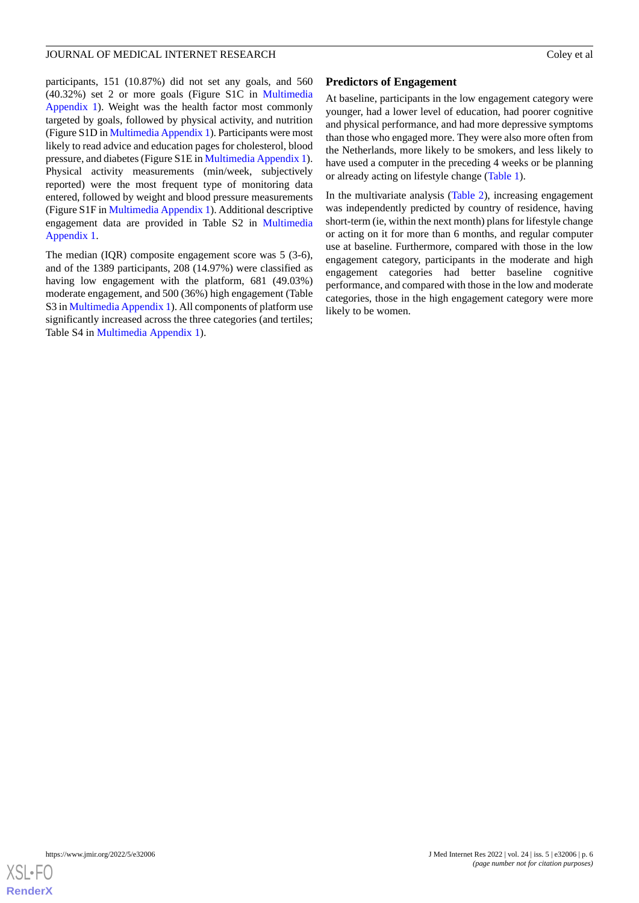participants, 151 (10.87%) did not set any goals, and 560 (40.32%) set 2 or more goals (Figure S1C in [Multimedia](#page-13-16) [Appendix 1](#page-13-16)). Weight was the health factor most commonly targeted by goals, followed by physical activity, and nutrition (Figure S1D in [Multimedia Appendix 1\)](#page-13-16). Participants were most likely to read advice and education pages for cholesterol, blood pressure, and diabetes (Figure S1E in [Multimedia Appendix 1\)](#page-13-16). Physical activity measurements (min/week, subjectively reported) were the most frequent type of monitoring data entered, followed by weight and blood pressure measurements (Figure S1F in [Multimedia Appendix 1](#page-13-16)). Additional descriptive engagement data are provided in Table S2 in [Multimedia](#page-13-16) [Appendix 1.](#page-13-16)

The median (IQR) composite engagement score was 5 (3-6), and of the 1389 participants, 208 (14.97%) were classified as having low engagement with the platform, 681 (49.03%) moderate engagement, and 500 (36%) high engagement (Table S3 in [Multimedia Appendix 1](#page-13-16)). All components of platform use significantly increased across the three categories (and tertiles; Table S4 in [Multimedia Appendix 1](#page-13-16)).

## **Predictors of Engagement**

At baseline, participants in the low engagement category were younger, had a lower level of education, had poorer cognitive and physical performance, and had more depressive symptoms than those who engaged more. They were also more often from the Netherlands, more likely to be smokers, and less likely to have used a computer in the preceding 4 weeks or be planning or already acting on lifestyle change ([Table 1](#page-6-0)).

In the multivariate analysis ([Table 2\)](#page-7-0), increasing engagement was independently predicted by country of residence, having short-term (ie, within the next month) plans for lifestyle change or acting on it for more than 6 months, and regular computer use at baseline. Furthermore, compared with those in the low engagement category, participants in the moderate and high engagement categories had better baseline cognitive performance, and compared with those in the low and moderate categories, those in the high engagement category were more likely to be women.

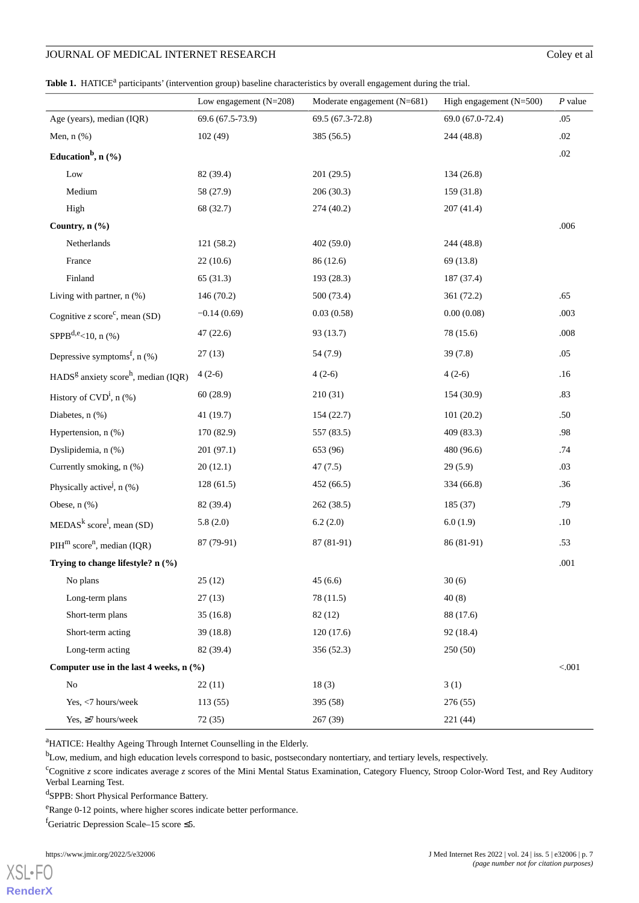# JOURNAL OF MEDICAL INTERNET RESEARCH Coley et al

<span id="page-6-0"></span>Table 1. HATICE<sup>a</sup> participants' (intervention group) baseline characteristics by overall engagement during the trial.

|                                                        | Low engagement $(N=208)$ | Moderate engagement (N=681) | High engagement $(N=500)$ | $P$ value |
|--------------------------------------------------------|--------------------------|-----------------------------|---------------------------|-----------|
| Age (years), median (IQR)                              | 69.6 (67.5-73.9)         | 69.5 (67.3-72.8)            | 69.0 (67.0-72.4)          | .05       |
| Men, $n$ $%$ )                                         | 102(49)                  | 385 (56.5)                  | 244 (48.8)                | $.02\,$   |
| Education <sup>b</sup> , $n$ (%)                       |                          |                             |                           | $.02\,$   |
|                                                        |                          |                             |                           |           |
| Low                                                    | 82 (39.4)                | 201 (29.5)                  | 134(26.8)                 |           |
| Medium                                                 | 58 (27.9)                | 206(30.3)                   | 159 (31.8)                |           |
| High                                                   | 68 (32.7)                | 274 (40.2)                  | 207(41.4)                 |           |
| Country, n (%)                                         |                          |                             |                           | $.006$    |
| Netherlands                                            | 121 (58.2)               | 402(59.0)                   | 244 (48.8)                |           |
| France                                                 | 22(10.6)                 | 86 (12.6)                   | 69 (13.8)                 |           |
| Finland                                                | 65 (31.3)                | 193 (28.3)                  | 187 (37.4)                |           |
| Living with partner, $n$ $(\%)$                        | 146 (70.2)               | 500 (73.4)                  | 361 (72.2)                | .65       |
| Cognitive $z$ score <sup>c</sup> , mean (SD)           | $-0.14(0.69)$            | 0.03(0.58)                  | 0.00(0.08)                | .003      |
| SPPB <sup>d,e</sup> <10, n $(\% )$                     | 47(22.6)                 | 93 (13.7)                   | 78 (15.6)                 | $.008$    |
| Depressive symptoms <sup>f</sup> , $n$ (%)             | 27(13)                   | 54 (7.9)                    | 39(7.8)                   | .05       |
| $HADSg$ anxiety score <sup>h</sup> , median (IQR)      | $4(2-6)$                 | $4(2-6)$                    | $4(2-6)$                  | .16       |
| History of $CVD^i$ , n $(\%)$                          | 60(28.9)                 | 210(31)                     | 154 (30.9)                | .83       |
| Diabetes, $n$ $%$                                      | 41 (19.7)                | 154 (22.7)                  | 101(20.2)                 | .50       |
| Hypertension, n (%)                                    | 170 (82.9)               | 557 (83.5)                  | 409(83.3)                 | .98       |
| Dyslipidemia, n (%)                                    | 201 (97.1)               | 653 (96)                    | 480 (96.6)                | .74       |
| Currently smoking, n (%)                               | 20(12.1)                 | 47(7.5)                     | 29(5.9)                   | .03       |
| Physically active <sup><math>j</math></sup> , n $(\%)$ | 128(61.5)                | 452 (66.5)                  | 334 (66.8)                | .36       |
| Obese, $n$ $%$                                         | 82 (39.4)                | 262(38.5)                   | 185(37)                   | .79       |
| $MEDASk score1$ , mean (SD)                            | 5.8(2.0)                 | 6.2(2.0)                    | 6.0(1.9)                  | .10       |
| $PHm scoren$ , median (IQR)                            | 87 (79-91)               | 87 (81-91)                  | 86 (81-91)                | .53       |
| Trying to change lifestyle? n (%)                      |                          |                             |                           | .001      |
| No plans                                               | 25(12)                   | 45(6.6)                     | 30(6)                     |           |
| Long-term plans                                        | 27(13)                   | 78 (11.5)                   | 40(8)                     |           |
| Short-term plans                                       | 35(16.8)                 | 82(12)                      | 88 (17.6)                 |           |
| Short-term acting                                      | 39(18.8)                 | 120(17.6)                   | 92 (18.4)                 |           |
| Long-term acting                                       | 82 (39.4)                | 356 (52.3)                  | 250(50)                   |           |
| Computer use in the last 4 weeks, $n$ (%)              |                          |                             |                           | < .001    |
| No                                                     | 22(11)                   | 18(3)                       | 3(1)                      |           |
| Yes, <7 hours/week                                     | 113(55)                  | 395 (58)                    | 276(55)                   |           |
| Yes, ≥7 hours/week                                     | 72 (35)                  | 267 (39)                    | 221 (44)                  |           |

<sup>a</sup>HATICE: Healthy Ageing Through Internet Counselling in the Elderly.

<sup>b</sup>Low, medium, and high education levels correspond to basic, postsecondary nontertiary, and tertiary levels, respectively.

<sup>c</sup>Cognitive *z* score indicates average *z* scores of the Mini Mental Status Examination, Category Fluency, Stroop Color-Word Test, and Rey Auditory Verbal Learning Test.

d SPPB: Short Physical Performance Battery.

<sup>e</sup>Range 0-12 points, where higher scores indicate better performance.

fGeriatric Depression Scale–15 score  $\leq$ 5.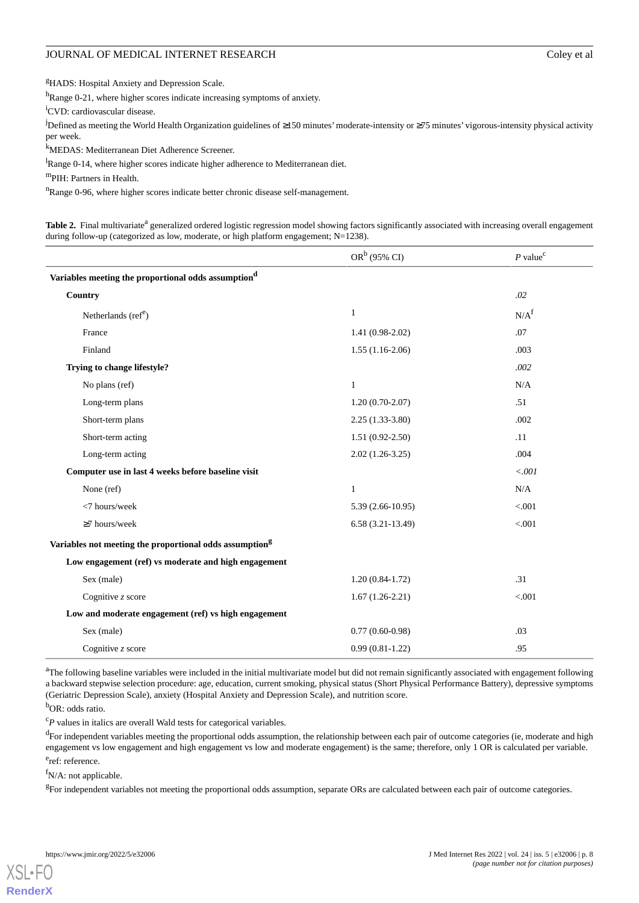<sup>g</sup>HADS: Hospital Anxiety and Depression Scale.

hRange 0-21, where higher scores indicate increasing symptoms of anxiety.

<sup>i</sup>CVD: cardiovascular disease.

<sup>j</sup>Defined as meeting the World Health Organization guidelines of ≥150 minutes'moderate-intensity or ≥75 minutes' vigorous-intensity physical activity per week.

<sup>k</sup>MEDAS: Mediterranean Diet Adherence Screener.

<sup>l</sup>Range 0-14, where higher scores indicate higher adherence to Mediterranean diet.

<sup>m</sup>PIH: Partners in Health.

<span id="page-7-0"></span><sup>n</sup>Range 0-96, where higher scores indicate better chronic disease self-management.

Table 2. Final multivariate<sup>a</sup> generalized ordered logistic regression model showing factors significantly associated with increasing overall engagement during follow-up (categorized as low, moderate, or high platform engagement; N=1238).

|                                                                     | $OR^b$ (95% CI)     | $P$ value <sup>c</sup> |
|---------------------------------------------------------------------|---------------------|------------------------|
| Variables meeting the proportional odds assumption <sup>d</sup>     |                     |                        |
| Country                                                             |                     | .02                    |
| Netherlands (ref <sup>e</sup> )                                     | $\mathbf{1}$        | N/A <sup>f</sup>       |
| France                                                              | $1.41(0.98-2.02)$   | .07                    |
| Finland                                                             | $1.55(1.16-2.06)$   | .003                   |
| Trying to change lifestyle?                                         |                     | .002                   |
| No plans (ref)                                                      | $\mathbf{1}$        | N/A                    |
| Long-term plans                                                     | $1.20(0.70-2.07)$   | .51                    |
| Short-term plans                                                    | $2.25(1.33-3.80)$   | .002                   |
| Short-term acting                                                   | $1.51(0.92 - 2.50)$ | .11                    |
| Long-term acting                                                    | $2.02(1.26-3.25)$   | .004                   |
| Computer use in last 4 weeks before baseline visit                  |                     | < .001                 |
| None (ref)                                                          | $\mathbf{1}$        | N/A                    |
| <7 hours/week                                                       | $5.39(2.66-10.95)$  | < .001                 |
| $\geq$ 7 hours/week                                                 | $6.58(3.21-13.49)$  | < 0.001                |
| Variables not meeting the proportional odds assumption <sup>g</sup> |                     |                        |
| Low engagement (ref) vs moderate and high engagement                |                     |                        |
| Sex (male)                                                          | $1.20(0.84-1.72)$   | .31                    |
| Cognitive z score                                                   | $1.67(1.26-2.21)$   | < 0.001                |
| Low and moderate engagement (ref) vs high engagement                |                     |                        |
| Sex (male)                                                          | $0.77(0.60-0.98)$   | .03                    |
| Cognitive $z$ score                                                 | $0.99(0.81-1.22)$   | .95                    |

<sup>a</sup>The following baseline variables were included in the initial multivariate model but did not remain significantly associated with engagement following a backward stepwise selection procedure: age, education, current smoking, physical status (Short Physical Performance Battery), depressive symptoms (Geriatric Depression Scale), anxiety (Hospital Anxiety and Depression Scale), and nutrition score.

<sup>b</sup>OR: odds ratio.

<sup>c</sup>P values in italics are overall Wald tests for categorical variables.

<sup>d</sup>For independent variables meeting the proportional odds assumption, the relationship between each pair of outcome categories (ie, moderate and high engagement vs low engagement and high engagement vs low and moderate engagement) is the same; therefore, only 1 OR is calculated per variable.

e<sub>ref: reference.</sub>

[XSL](http://www.w3.org/Style/XSL)•FO **[RenderX](http://www.renderx.com/)**

f<sub>N</sub>/A: not applicable.

<sup>g</sup>For independent variables not meeting the proportional odds assumption, separate ORs are calculated between each pair of outcome categories.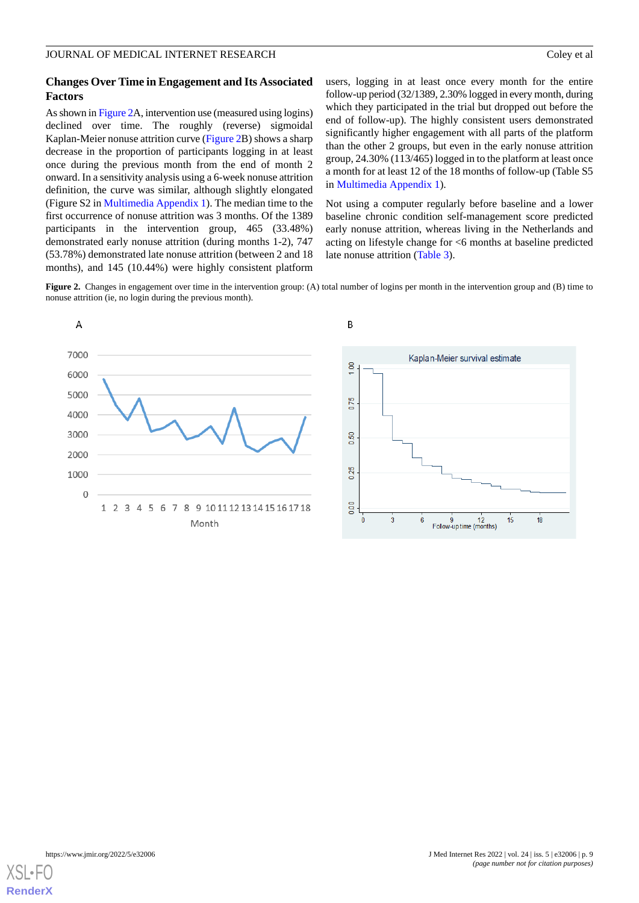## **Changes Over Time in Engagement and Its Associated Factors**

As shown in [Figure 2](#page-8-0)A, intervention use (measured using logins) declined over time. The roughly (reverse) sigmoidal Kaplan-Meier nonuse attrition curve ([Figure 2B](#page-8-0)) shows a sharp decrease in the proportion of participants logging in at least once during the previous month from the end of month 2 onward. In a sensitivity analysis using a 6-week nonuse attrition definition, the curve was similar, although slightly elongated (Figure S2 in [Multimedia Appendix 1](#page-13-16)). The median time to the first occurrence of nonuse attrition was 3 months. Of the 1389 participants in the intervention group, 465 (33.48%) demonstrated early nonuse attrition (during months 1-2), 747 (53.78%) demonstrated late nonuse attrition (between 2 and 18 months), and 145 (10.44%) were highly consistent platform

users, logging in at least once every month for the entire follow-up period (32/1389, 2.30% logged in every month, during which they participated in the trial but dropped out before the end of follow-up). The highly consistent users demonstrated significantly higher engagement with all parts of the platform than the other 2 groups, but even in the early nonuse attrition group, 24.30% (113/465) logged in to the platform at least once a month for at least 12 of the 18 months of follow-up (Table S5 in [Multimedia Appendix 1](#page-13-16)).

Not using a computer regularly before baseline and a lower baseline chronic condition self-management score predicted early nonuse attrition, whereas living in the Netherlands and acting on lifestyle change for <6 months at baseline predicted late nonuse attrition ([Table 3](#page-9-0)).

<span id="page-8-0"></span>**Figure 2.** Changes in engagement over time in the intervention group: (A) total number of logins per month in the intervention group and (B) time to nonuse attrition (ie, no login during the previous month).



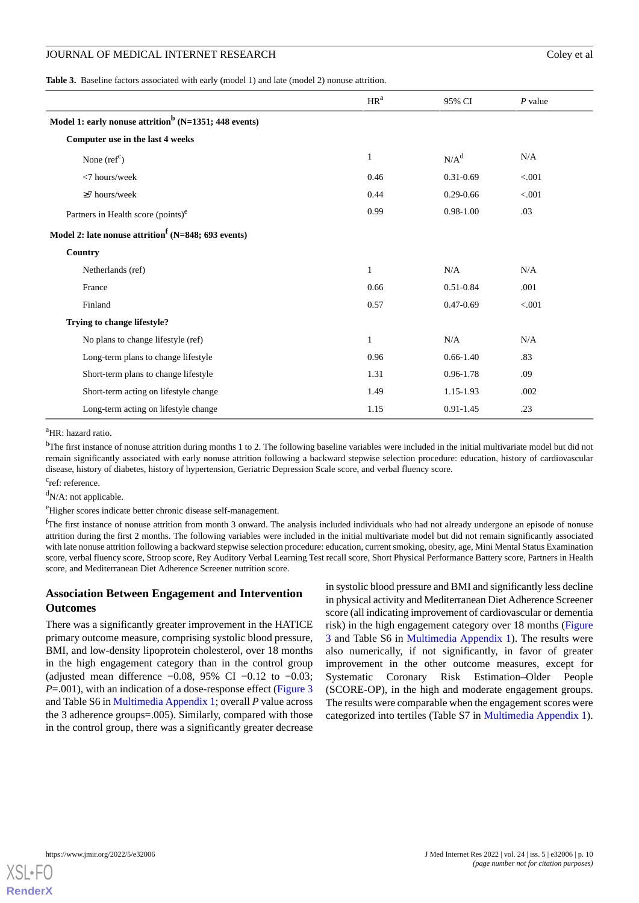<span id="page-9-0"></span>**Table 3.** Baseline factors associated with early (model 1) and late (model 2) nonuse attrition.

|                                                                   | HR <sup>a</sup> | 95% CI           | $P$ value |
|-------------------------------------------------------------------|-----------------|------------------|-----------|
| Model 1: early nonuse attrition <sup>b</sup> (N=1351; 448 events) |                 |                  |           |
| Computer use in the last 4 weeks                                  |                 |                  |           |
| None $(ref^c)$                                                    | 1               | N/A <sup>d</sup> | N/A       |
| <7 hours/week                                                     | 0.46            | $0.31 - 0.69$    | < 0.001   |
| $\geq$ 7 hours/week                                               | 0.44            | $0.29 - 0.66$    | < .001    |
| Partners in Health score (points) <sup>e</sup>                    | 0.99            | $0.98 - 1.00$    | .03       |
| Model 2: late nonuse attrition <sup>f</sup> (N=848; 693 events)   |                 |                  |           |
| Country                                                           |                 |                  |           |
| Netherlands (ref)                                                 | $\mathbf{1}$    | N/A              | N/A       |
| France                                                            | 0.66            | $0.51 - 0.84$    | .001      |
| Finland                                                           | 0.57            | $0.47 - 0.69$    | < .001    |
| Trying to change lifestyle?                                       |                 |                  |           |
| No plans to change lifestyle (ref)                                | 1               | N/A              | N/A       |
| Long-term plans to change lifestyle                               | 0.96            | $0.66 - 1.40$    | .83       |
| Short-term plans to change lifestyle                              | 1.31            | 0.96-1.78        | .09       |
| Short-term acting on lifestyle change                             | 1.49            | 1.15-1.93        | .002      |
| Long-term acting on lifestyle change                              | 1.15            | $0.91 - 1.45$    | .23       |

<sup>a</sup>HR: hazard ratio.

<sup>b</sup>The first instance of nonuse attrition during months 1 to 2. The following baseline variables were included in the initial multivariate model but did not remain significantly associated with early nonuse attrition following a backward stepwise selection procedure: education, history of cardiovascular disease, history of diabetes, history of hypertension, Geriatric Depression Scale score, and verbal fluency score.

<sup>c</sup>ref: reference.

 $d_{N/A}$ : not applicable.

<sup>e</sup>Higher scores indicate better chronic disease self-management.

 $<sup>f</sup>$ The first instance of nonuse attrition from month 3 onward. The analysis included individuals who had not already undergone an episode of nonuse</sup> attrition during the first 2 months. The following variables were included in the initial multivariate model but did not remain significantly associated with late nonuse attrition following a backward stepwise selection procedure: education, current smoking, obesity, age, Mini Mental Status Examination score, verbal fluency score, Stroop score, Rey Auditory Verbal Learning Test recall score, Short Physical Performance Battery score, Partners in Health score, and Mediterranean Diet Adherence Screener nutrition score.

## **Association Between Engagement and Intervention Outcomes**

There was a significantly greater improvement in the HATICE primary outcome measure, comprising systolic blood pressure, BMI, and low-density lipoprotein cholesterol, over 18 months in the high engagement category than in the control group (adjusted mean difference  $-0.08$ , 95% CI  $-0.12$  to  $-0.03$ ; *P*=.001), with an indication of a dose-response effect [\(Figure 3](#page-10-0)) and Table S6 in [Multimedia Appendix 1;](#page-13-16) overall *P* value across the 3 adherence groups=.005). Similarly, compared with those in the control group, there was a significantly greater decrease

in systolic blood pressure and BMI and significantly less decline in physical activity and Mediterranean Diet Adherence Screener score (all indicating improvement of cardiovascular or dementia risk) in the high engagement category over 18 months ([Figure](#page-10-0) [3](#page-10-0) and Table S6 in [Multimedia Appendix 1](#page-13-16)). The results were also numerically, if not significantly, in favor of greater improvement in the other outcome measures, except for Systematic Coronary Risk Estimation–Older People (SCORE-OP), in the high and moderate engagement groups. The results were comparable when the engagement scores were categorized into tertiles (Table S7 in [Multimedia Appendix 1\)](#page-13-16).

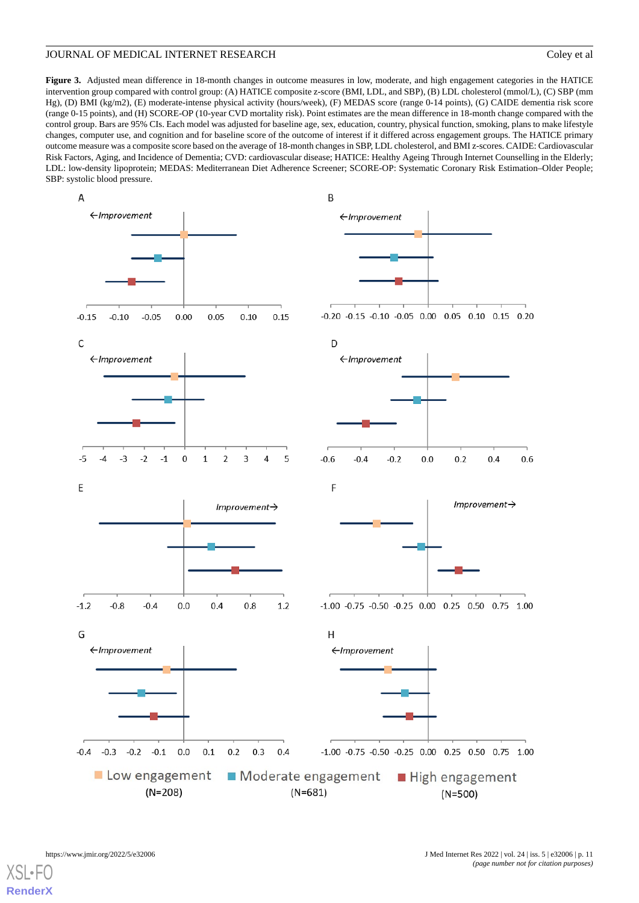<span id="page-10-0"></span>**Figure 3.** Adjusted mean difference in 18-month changes in outcome measures in low, moderate, and high engagement categories in the HATICE intervention group compared with control group: (A) HATICE composite z-score (BMI, LDL, and SBP), (B) LDL cholesterol (mmol/L), (C) SBP (mm Hg), (D) BMI (kg/m2), (E) moderate-intense physical activity (hours/week), (F) MEDAS score (range 0-14 points), (G) CAIDE dementia risk score (range 0-15 points), and (H) SCORE-OP (10-year CVD mortality risk). Point estimates are the mean difference in 18-month change compared with the control group. Bars are 95% CIs. Each model was adjusted for baseline age, sex, education, country, physical function, smoking, plans to make lifestyle changes, computer use, and cognition and for baseline score of the outcome of interest if it differed across engagement groups. The HATICE primary outcome measure was a composite score based on the average of 18-month changes in SBP, LDL cholesterol, and BMI z-scores. CAIDE: Cardiovascular Risk Factors, Aging, and Incidence of Dementia; CVD: cardiovascular disease; HATICE: Healthy Ageing Through Internet Counselling in the Elderly; LDL: low-density lipoprotein; MEDAS: Mediterranean Diet Adherence Screener; SCORE-OP: Systematic Coronary Risk Estimation–Older People; SBP: systolic blood pressure.

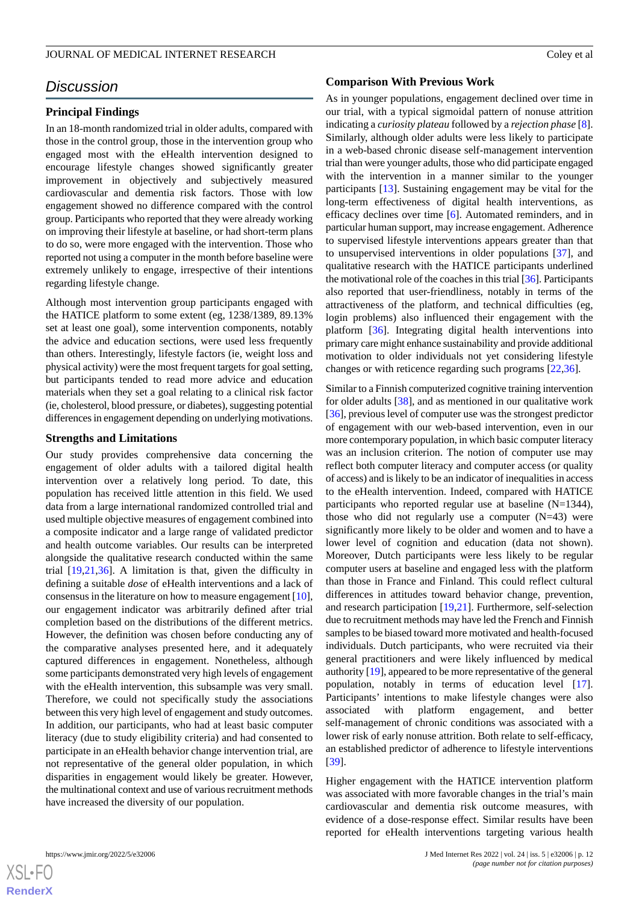# *Discussion*

## **Principal Findings**

In an 18-month randomized trial in older adults, compared with those in the control group, those in the intervention group who engaged most with the eHealth intervention designed to encourage lifestyle changes showed significantly greater improvement in objectively and subjectively measured cardiovascular and dementia risk factors. Those with low engagement showed no difference compared with the control group. Participants who reported that they were already working on improving their lifestyle at baseline, or had short-term plans to do so, were more engaged with the intervention. Those who reported not using a computer in the month before baseline were extremely unlikely to engage, irrespective of their intentions regarding lifestyle change.

Although most intervention group participants engaged with the HATICE platform to some extent (eg, 1238/1389, 89.13% set at least one goal), some intervention components, notably the advice and education sections, were used less frequently than others. Interestingly, lifestyle factors (ie, weight loss and physical activity) were the most frequent targets for goal setting, but participants tended to read more advice and education materials when they set a goal relating to a clinical risk factor (ie, cholesterol, blood pressure, or diabetes), suggesting potential differences in engagement depending on underlying motivations.

### **Strengths and Limitations**

Our study provides comprehensive data concerning the engagement of older adults with a tailored digital health intervention over a relatively long period. To date, this population has received little attention in this field. We used data from a large international randomized controlled trial and used multiple objective measures of engagement combined into a composite indicator and a large range of validated predictor and health outcome variables. Our results can be interpreted alongside the qualitative research conducted within the same trial [\[19](#page-14-2),[21](#page-14-4)[,36](#page-14-18)]. A limitation is that, given the difficulty in defining a suitable *dose* of eHealth interventions and a lack of consensus in the literature on how to measure engagement [[10\]](#page-13-9), our engagement indicator was arbitrarily defined after trial completion based on the distributions of the different metrics. However, the definition was chosen before conducting any of the comparative analyses presented here, and it adequately captured differences in engagement. Nonetheless, although some participants demonstrated very high levels of engagement with the eHealth intervention, this subsample was very small. Therefore, we could not specifically study the associations between this very high level of engagement and study outcomes. In addition, our participants, who had at least basic computer literacy (due to study eligibility criteria) and had consented to participate in an eHealth behavior change intervention trial, are not representative of the general older population, in which disparities in engagement would likely be greater. However, the multinational context and use of various recruitment methods have increased the diversity of our population.

# **Comparison With Previous Work**

As in younger populations, engagement declined over time in our trial, with a typical sigmoidal pattern of nonuse attrition indicating a *curiosity plateau* followed by a *rejection phase* [[8\]](#page-13-7). Similarly, although older adults were less likely to participate in a web-based chronic disease self-management intervention trial than were younger adults, those who did participate engaged with the intervention in a manner similar to the younger participants [[13\]](#page-13-11). Sustaining engagement may be vital for the long-term effectiveness of digital health interventions, as efficacy declines over time [[6\]](#page-13-5). Automated reminders, and in particular human support, may increase engagement. Adherence to supervised lifestyle interventions appears greater than that to unsupervised interventions in older populations [\[37](#page-15-0)], and qualitative research with the HATICE participants underlined the motivational role of the coaches in this trial [\[36](#page-14-18)]. Participants also reported that user-friendliness, notably in terms of the attractiveness of the platform, and technical difficulties (eg, login problems) also influenced their engagement with the platform [\[36](#page-14-18)]. Integrating digital health interventions into primary care might enhance sustainability and provide additional motivation to older individuals not yet considering lifestyle changes or with reticence regarding such programs [\[22](#page-14-5),[36\]](#page-14-18).

Similar to a Finnish computerized cognitive training intervention for older adults [[38\]](#page-15-1), and as mentioned in our qualitative work [[36\]](#page-14-18), previous level of computer use was the strongest predictor of engagement with our web-based intervention, even in our more contemporary population, in which basic computer literacy was an inclusion criterion. The notion of computer use may reflect both computer literacy and computer access (or quality of access) and is likely to be an indicator of inequalities in access to the eHealth intervention. Indeed, compared with HATICE participants who reported regular use at baseline (N=1344), those who did not regularly use a computer  $(N=43)$  were significantly more likely to be older and women and to have a lower level of cognition and education (data not shown). Moreover, Dutch participants were less likely to be regular computer users at baseline and engaged less with the platform than those in France and Finland. This could reflect cultural differences in attitudes toward behavior change, prevention, and research participation [\[19](#page-14-2),[21\]](#page-14-4). Furthermore, self-selection due to recruitment methods may have led the French and Finnish samples to be biased toward more motivated and health-focused individuals. Dutch participants, who were recruited via their general practitioners and were likely influenced by medical authority [\[19](#page-14-2)], appeared to be more representative of the general population, notably in terms of education level [[17\]](#page-14-1). Participants' intentions to make lifestyle changes were also associated with platform engagement, and better self-management of chronic conditions was associated with a lower risk of early nonuse attrition. Both relate to self-efficacy, an established predictor of adherence to lifestyle interventions [[39\]](#page-15-2).

Higher engagement with the HATICE intervention platform was associated with more favorable changes in the trial's main cardiovascular and dementia risk outcome measures, with evidence of a dose-response effect. Similar results have been reported for eHealth interventions targeting various health

 $XS$  • FC **[RenderX](http://www.renderx.com/)**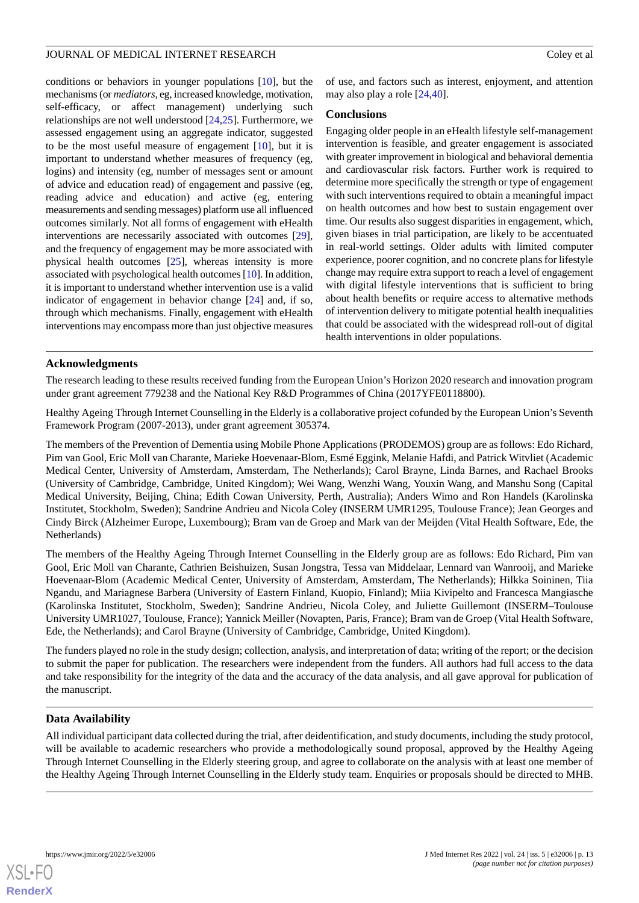conditions or behaviors in younger populations [[10\]](#page-13-9), but the mechanisms (or *mediators*, eg, increased knowledge, motivation, self-efficacy, or affect management) underlying such relationships are not well understood [[24,](#page-14-7)[25](#page-14-19)]. Furthermore, we assessed engagement using an aggregate indicator, suggested to be the most useful measure of engagement [[10\]](#page-13-9), but it is important to understand whether measures of frequency (eg, logins) and intensity (eg, number of messages sent or amount of advice and education read) of engagement and passive (eg, reading advice and education) and active (eg, entering measurements and sending messages) platform use all influenced outcomes similarly. Not all forms of engagement with eHealth interventions are necessarily associated with outcomes [[29\]](#page-14-11), and the frequency of engagement may be more associated with physical health outcomes [[25\]](#page-14-19), whereas intensity is more associated with psychological health outcomes [[10](#page-13-9)]. In addition, it is important to understand whether intervention use is a valid indicator of engagement in behavior change [\[24](#page-14-7)] and, if so, through which mechanisms. Finally, engagement with eHealth interventions may encompass more than just objective measures

of use, and factors such as interest, enjoyment, and attention may also play a role [\[24](#page-14-7)[,40](#page-15-3)].

# **Conclusions**

Engaging older people in an eHealth lifestyle self-management intervention is feasible, and greater engagement is associated with greater improvement in biological and behavioral dementia and cardiovascular risk factors. Further work is required to determine more specifically the strength or type of engagement with such interventions required to obtain a meaningful impact on health outcomes and how best to sustain engagement over time. Our results also suggest disparities in engagement, which, given biases in trial participation, are likely to be accentuated in real-world settings. Older adults with limited computer experience, poorer cognition, and no concrete plans for lifestyle change may require extra support to reach a level of engagement with digital lifestyle interventions that is sufficient to bring about health benefits or require access to alternative methods of intervention delivery to mitigate potential health inequalities that could be associated with the widespread roll-out of digital health interventions in older populations.

# **Acknowledgments**

The research leading to these results received funding from the European Union's Horizon 2020 research and innovation program under grant agreement 779238 and the National Key R&D Programmes of China (2017YFE0118800).

Healthy Ageing Through Internet Counselling in the Elderly is a collaborative project cofunded by the European Union's Seventh Framework Program (2007-2013), under grant agreement 305374.

The members of the Prevention of Dementia using Mobile Phone Applications (PRODEMOS) group are as follows: Edo Richard, Pim van Gool, Eric Moll van Charante, Marieke Hoevenaar-Blom, Esmé Eggink, Melanie Hafdi, and Patrick Witvliet (Academic Medical Center, University of Amsterdam, Amsterdam, The Netherlands); Carol Brayne, Linda Barnes, and Rachael Brooks (University of Cambridge, Cambridge, United Kingdom); Wei Wang, Wenzhi Wang, Youxin Wang, and Manshu Song (Capital Medical University, Beijing, China; Edith Cowan University, Perth, Australia); Anders Wimo and Ron Handels (Karolinska Institutet, Stockholm, Sweden); Sandrine Andrieu and Nicola Coley (INSERM UMR1295, Toulouse France); Jean Georges and Cindy Birck (Alzheimer Europe, Luxembourg); Bram van de Groep and Mark van der Meijden (Vital Health Software, Ede, the Netherlands)

The members of the Healthy Ageing Through Internet Counselling in the Elderly group are as follows: Edo Richard, Pim van Gool, Eric Moll van Charante, Cathrien Beishuizen, Susan Jongstra, Tessa van Middelaar, Lennard van Wanrooij, and Marieke Hoevenaar-Blom (Academic Medical Center, University of Amsterdam, Amsterdam, The Netherlands); Hilkka Soininen, Tiia Ngandu, and Mariagnese Barbera (University of Eastern Finland, Kuopio, Finland); Miia Kivipelto and Francesca Mangiasche (Karolinska Institutet, Stockholm, Sweden); Sandrine Andrieu, Nicola Coley, and Juliette Guillemont (INSERM–Toulouse University UMR1027, Toulouse, France); Yannick Meiller (Novapten, Paris, France); Bram van de Groep (Vital Health Software, Ede, the Netherlands); and Carol Brayne (University of Cambridge, Cambridge, United Kingdom).

The funders played no role in the study design; collection, analysis, and interpretation of data; writing of the report; or the decision to submit the paper for publication. The researchers were independent from the funders. All authors had full access to the data and take responsibility for the integrity of the data and the accuracy of the data analysis, and all gave approval for publication of the manuscript.

# **Data Availability**

All individual participant data collected during the trial, after deidentification, and study documents, including the study protocol, will be available to academic researchers who provide a methodologically sound proposal, approved by the Healthy Ageing Through Internet Counselling in the Elderly steering group, and agree to collaborate on the analysis with at least one member of the Healthy Ageing Through Internet Counselling in the Elderly study team. Enquiries or proposals should be directed to MHB.

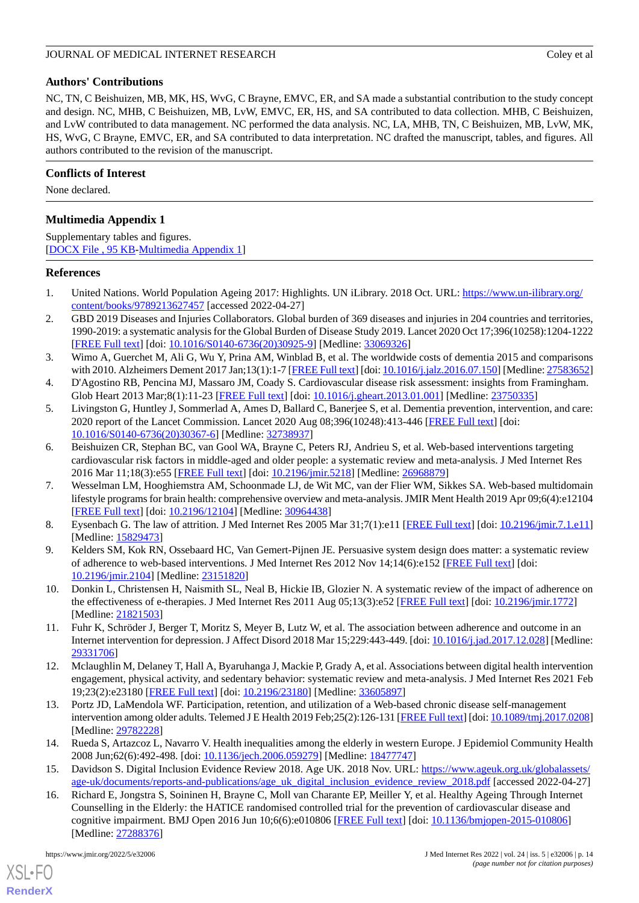# **Authors' Contributions**

NC, TN, C Beishuizen, MB, MK, HS, WvG, C Brayne, EMVC, ER, and SA made a substantial contribution to the study concept and design. NC, MHB, C Beishuizen, MB, LvW, EMVC, ER, HS, and SA contributed to data collection. MHB, C Beishuizen, and LvW contributed to data management. NC performed the data analysis. NC, LA, MHB, TN, C Beishuizen, MB, LvW, MK, HS, WvG, C Brayne, EMVC, ER, and SA contributed to data interpretation. NC drafted the manuscript, tables, and figures. All authors contributed to the revision of the manuscript.

# **Conflicts of Interest**

<span id="page-13-16"></span>None declared.

# **Multimedia Appendix 1**

Supplementary tables and figures. [[DOCX File , 95 KB](https://jmir.org/api/download?alt_name=jmir_v24i5e32006_app1.docx&filename=eabfafb688aadccd54cfc195dea5f8d4.docx)-[Multimedia Appendix 1\]](https://jmir.org/api/download?alt_name=jmir_v24i5e32006_app1.docx&filename=eabfafb688aadccd54cfc195dea5f8d4.docx)

## <span id="page-13-0"></span>**References**

- <span id="page-13-1"></span>1. United Nations. World Population Ageing 2017: Highlights. UN iLibrary. 2018 Oct. URL: [https://www.un-ilibrary.org/](https://www.un-ilibrary.org/content/books/9789213627457) [content/books/9789213627457](https://www.un-ilibrary.org/content/books/9789213627457) [accessed 2022-04-27]
- <span id="page-13-2"></span>2. GBD 2019 Diseases and Injuries Collaborators. Global burden of 369 diseases and injuries in 204 countries and territories, 1990-2019: a systematic analysis for the Global Burden of Disease Study 2019. Lancet 2020 Oct 17;396(10258):1204-1222 [[FREE Full text](https://linkinghub.elsevier.com/retrieve/pii/S0140-6736(20)30925-9)] [doi: [10.1016/S0140-6736\(20\)30925-9\]](http://dx.doi.org/10.1016/S0140-6736(20)30925-9) [Medline: [33069326](http://www.ncbi.nlm.nih.gov/entrez/query.fcgi?cmd=Retrieve&db=PubMed&list_uids=33069326&dopt=Abstract)]
- <span id="page-13-4"></span><span id="page-13-3"></span>3. Wimo A, Guerchet M, Ali G, Wu Y, Prina AM, Winblad B, et al. The worldwide costs of dementia 2015 and comparisons with 2010. Alzheimers Dement 2017 Jan;13(1):1-7 [\[FREE Full text\]](https://linkinghub.elsevier.com/retrieve/pii/S1552-5260(16)30043-7) [doi: [10.1016/j.jalz.2016.07.150](http://dx.doi.org/10.1016/j.jalz.2016.07.150)] [Medline: [27583652\]](http://www.ncbi.nlm.nih.gov/entrez/query.fcgi?cmd=Retrieve&db=PubMed&list_uids=27583652&dopt=Abstract)
- 4. D'Agostino RB, Pencina MJ, Massaro JM, Coady S. Cardiovascular disease risk assessment: insights from Framingham. Glob Heart 2013 Mar;8(1):11-23 [\[FREE Full text\]](https://linkinghub.elsevier.com/retrieve/pii/S2211-8160(13)00005-7) [doi: [10.1016/j.gheart.2013.01.001\]](http://dx.doi.org/10.1016/j.gheart.2013.01.001) [Medline: [23750335\]](http://www.ncbi.nlm.nih.gov/entrez/query.fcgi?cmd=Retrieve&db=PubMed&list_uids=23750335&dopt=Abstract)
- <span id="page-13-5"></span>5. Livingston G, Huntley J, Sommerlad A, Ames D, Ballard C, Banerjee S, et al. Dementia prevention, intervention, and care: 2020 report of the Lancet Commission. Lancet 2020 Aug 08;396(10248):413-446 [[FREE Full text\]](http://europepmc.org/abstract/MED/32738937) [doi: [10.1016/S0140-6736\(20\)30367-6\]](http://dx.doi.org/10.1016/S0140-6736(20)30367-6) [Medline: [32738937](http://www.ncbi.nlm.nih.gov/entrez/query.fcgi?cmd=Retrieve&db=PubMed&list_uids=32738937&dopt=Abstract)]
- <span id="page-13-6"></span>6. Beishuizen CR, Stephan BC, van Gool WA, Brayne C, Peters RJ, Andrieu S, et al. Web-based interventions targeting cardiovascular risk factors in middle-aged and older people: a systematic review and meta-analysis. J Med Internet Res 2016 Mar 11;18(3):e55 [[FREE Full text](https://www.jmir.org/2016/3/e55/)] [doi: [10.2196/jmir.5218](http://dx.doi.org/10.2196/jmir.5218)] [Medline: [26968879\]](http://www.ncbi.nlm.nih.gov/entrez/query.fcgi?cmd=Retrieve&db=PubMed&list_uids=26968879&dopt=Abstract)
- <span id="page-13-8"></span><span id="page-13-7"></span>7. Wesselman LM, Hooghiemstra AM, Schoonmade LJ, de Wit MC, van der Flier WM, Sikkes SA. Web-based multidomain lifestyle programs for brain health: comprehensive overview and meta-analysis. JMIR Ment Health 2019 Apr 09;6(4):e12104 [[FREE Full text](https://mental.jmir.org/2019/4/e12104/)] [doi: [10.2196/12104\]](http://dx.doi.org/10.2196/12104) [Medline: [30964438\]](http://www.ncbi.nlm.nih.gov/entrez/query.fcgi?cmd=Retrieve&db=PubMed&list_uids=30964438&dopt=Abstract)
- <span id="page-13-9"></span>8. Eysenbach G. The law of attrition. J Med Internet Res 2005 Mar 31;7(1):e11 [[FREE Full text\]](https://www.jmir.org/2005/1/e11/) [doi: [10.2196/jmir.7.1.e11](http://dx.doi.org/10.2196/jmir.7.1.e11)] [Medline: [15829473](http://www.ncbi.nlm.nih.gov/entrez/query.fcgi?cmd=Retrieve&db=PubMed&list_uids=15829473&dopt=Abstract)]
- <span id="page-13-15"></span>9. Kelders SM, Kok RN, Ossebaard HC, Van Gemert-Pijnen JE. Persuasive system design does matter: a systematic review of adherence to web-based interventions. J Med Internet Res 2012 Nov 14;14(6):e152 [[FREE Full text](https://www.jmir.org/2012/6/e152/)] [doi: [10.2196/jmir.2104](http://dx.doi.org/10.2196/jmir.2104)] [Medline: [23151820](http://www.ncbi.nlm.nih.gov/entrez/query.fcgi?cmd=Retrieve&db=PubMed&list_uids=23151820&dopt=Abstract)]
- <span id="page-13-10"></span>10. Donkin L, Christensen H, Naismith SL, Neal B, Hickie IB, Glozier N. A systematic review of the impact of adherence on the effectiveness of e-therapies. J Med Internet Res 2011 Aug 05;13(3):e52 [\[FREE Full text](https://www.jmir.org/2011/3/e52/)] [doi: [10.2196/jmir.1772\]](http://dx.doi.org/10.2196/jmir.1772) [Medline: [21821503](http://www.ncbi.nlm.nih.gov/entrez/query.fcgi?cmd=Retrieve&db=PubMed&list_uids=21821503&dopt=Abstract)]
- <span id="page-13-11"></span>11. Fuhr K, Schröder J, Berger T, Moritz S, Meyer B, Lutz W, et al. The association between adherence and outcome in an Internet intervention for depression. J Affect Disord 2018 Mar 15;229:443-449. [doi: [10.1016/j.jad.2017.12.028](http://dx.doi.org/10.1016/j.jad.2017.12.028)] [Medline: [29331706](http://www.ncbi.nlm.nih.gov/entrez/query.fcgi?cmd=Retrieve&db=PubMed&list_uids=29331706&dopt=Abstract)]
- <span id="page-13-12"></span>12. Mclaughlin M, Delaney T, Hall A, Byaruhanga J, Mackie P, Grady A, et al. Associations between digital health intervention engagement, physical activity, and sedentary behavior: systematic review and meta-analysis. J Med Internet Res 2021 Feb 19;23(2):e23180 [\[FREE Full text](https://www.jmir.org/2021/2/e23180/)] [doi: [10.2196/23180\]](http://dx.doi.org/10.2196/23180) [Medline: [33605897\]](http://www.ncbi.nlm.nih.gov/entrez/query.fcgi?cmd=Retrieve&db=PubMed&list_uids=33605897&dopt=Abstract)
- <span id="page-13-14"></span><span id="page-13-13"></span>13. Portz JD, LaMendola WF. Participation, retention, and utilization of a Web-based chronic disease self-management intervention among older adults. Telemed J E Health 2019 Feb;25(2):126-131 [\[FREE Full text\]](http://europepmc.org/abstract/MED/29782228) [doi: [10.1089/tmj.2017.0208\]](http://dx.doi.org/10.1089/tmj.2017.0208) [Medline: [29782228](http://www.ncbi.nlm.nih.gov/entrez/query.fcgi?cmd=Retrieve&db=PubMed&list_uids=29782228&dopt=Abstract)]
- 14. Rueda S, Artazcoz L, Navarro V. Health inequalities among the elderly in western Europe. J Epidemiol Community Health 2008 Jun;62(6):492-498. [doi: [10.1136/jech.2006.059279\]](http://dx.doi.org/10.1136/jech.2006.059279) [Medline: [18477747\]](http://www.ncbi.nlm.nih.gov/entrez/query.fcgi?cmd=Retrieve&db=PubMed&list_uids=18477747&dopt=Abstract)
- 15. Davidson S. Digital Inclusion Evidence Review 2018. Age UK. 2018 Nov. URL: [https://www.ageuk.org.uk/globalassets/](https://www.ageuk.org.uk/globalassets/age-uk/documents/reports-and-publications/age_uk_digital_inclusion_evidence_review_2018.pdf) [age-uk/documents/reports-and-publications/age\\_uk\\_digital\\_inclusion\\_evidence\\_review\\_2018.pdf](https://www.ageuk.org.uk/globalassets/age-uk/documents/reports-and-publications/age_uk_digital_inclusion_evidence_review_2018.pdf) [accessed 2022-04-27]
- 16. Richard E, Jongstra S, Soininen H, Brayne C, Moll van Charante EP, Meiller Y, et al. Healthy Ageing Through Internet Counselling in the Elderly: the HATICE randomised controlled trial for the prevention of cardiovascular disease and cognitive impairment. BMJ Open 2016 Jun 10;6(6):e010806 [\[FREE Full text\]](https://bmjopen.bmj.com/lookup/pmidlookup?view=long&pmid=27288376) [doi: [10.1136/bmjopen-2015-010806](http://dx.doi.org/10.1136/bmjopen-2015-010806)] [Medline: [27288376](http://www.ncbi.nlm.nih.gov/entrez/query.fcgi?cmd=Retrieve&db=PubMed&list_uids=27288376&dopt=Abstract)]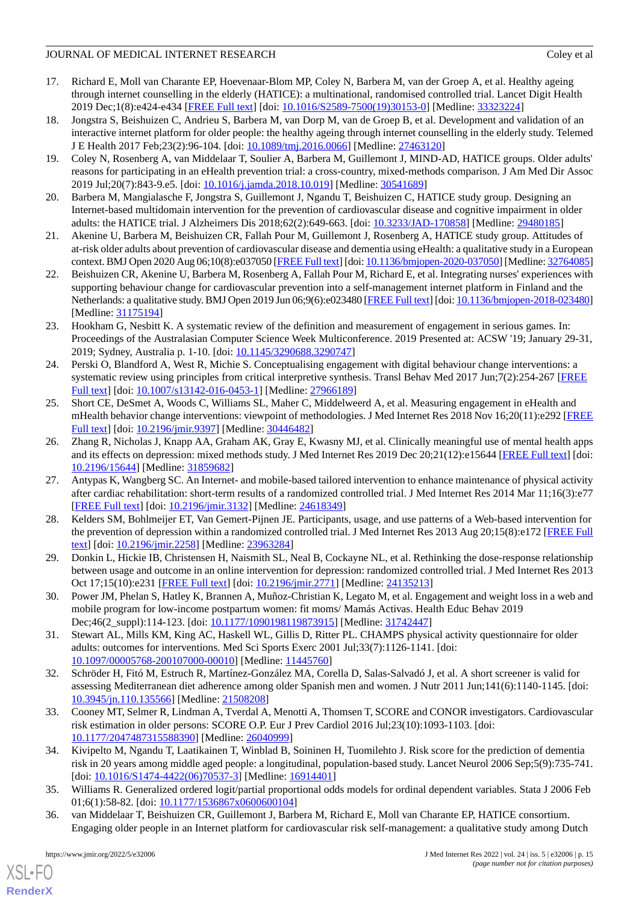- <span id="page-14-1"></span>17. Richard E, Moll van Charante EP, Hoevenaar-Blom MP, Coley N, Barbera M, van der Groep A, et al. Healthy ageing through internet counselling in the elderly (HATICE): a multinational, randomised controlled trial. Lancet Digit Health 2019 Dec;1(8):e424-e434 [\[FREE Full text\]](https://linkinghub.elsevier.com/retrieve/pii/S2589-7500(19)30153-0) [doi: [10.1016/S2589-7500\(19\)30153-0](http://dx.doi.org/10.1016/S2589-7500(19)30153-0)] [Medline: [33323224\]](http://www.ncbi.nlm.nih.gov/entrez/query.fcgi?cmd=Retrieve&db=PubMed&list_uids=33323224&dopt=Abstract)
- <span id="page-14-0"></span>18. Jongstra S, Beishuizen C, Andrieu S, Barbera M, van Dorp M, van de Groep B, et al. Development and validation of an interactive internet platform for older people: the healthy ageing through internet counselling in the elderly study. Telemed J E Health 2017 Feb;23(2):96-104. [doi: [10.1089/tmj.2016.0066\]](http://dx.doi.org/10.1089/tmj.2016.0066) [Medline: [27463120\]](http://www.ncbi.nlm.nih.gov/entrez/query.fcgi?cmd=Retrieve&db=PubMed&list_uids=27463120&dopt=Abstract)
- <span id="page-14-2"></span>19. Coley N, Rosenberg A, van Middelaar T, Soulier A, Barbera M, Guillemont J, MIND-AD, HATICE groups. Older adults' reasons for participating in an eHealth prevention trial: a cross-country, mixed-methods comparison. J Am Med Dir Assoc 2019 Jul;20(7):843-9.e5. [doi: [10.1016/j.jamda.2018.10.019](http://dx.doi.org/10.1016/j.jamda.2018.10.019)] [Medline: [30541689\]](http://www.ncbi.nlm.nih.gov/entrez/query.fcgi?cmd=Retrieve&db=PubMed&list_uids=30541689&dopt=Abstract)
- <span id="page-14-4"></span><span id="page-14-3"></span>20. Barbera M, Mangialasche F, Jongstra S, Guillemont J, Ngandu T, Beishuizen C, HATICE study group. Designing an Internet-based multidomain intervention for the prevention of cardiovascular disease and cognitive impairment in older adults: the HATICE trial. J Alzheimers Dis 2018;62(2):649-663. [doi: [10.3233/JAD-170858](http://dx.doi.org/10.3233/JAD-170858)] [Medline: [29480185](http://www.ncbi.nlm.nih.gov/entrez/query.fcgi?cmd=Retrieve&db=PubMed&list_uids=29480185&dopt=Abstract)]
- <span id="page-14-5"></span>21. Akenine U, Barbera M, Beishuizen CR, Fallah Pour M, Guillemont J, Rosenberg A, HATICE study group. Attitudes of at-risk older adults about prevention of cardiovascular disease and dementia using eHealth: a qualitative study in a European context. BMJ Open 2020 Aug 06;10(8):e037050 [\[FREE Full text](https://bmjopen.bmj.com/lookup/pmidlookup?view=long&pmid=32764085)] [doi: [10.1136/bmjopen-2020-037050](http://dx.doi.org/10.1136/bmjopen-2020-037050)] [Medline: [32764085\]](http://www.ncbi.nlm.nih.gov/entrez/query.fcgi?cmd=Retrieve&db=PubMed&list_uids=32764085&dopt=Abstract)
- <span id="page-14-6"></span>22. Beishuizen CR, Akenine U, Barbera M, Rosenberg A, Fallah Pour M, Richard E, et al. Integrating nurses' experiences with supporting behaviour change for cardiovascular prevention into a self-management internet platform in Finland and the Netherlands: a qualitative study. BMJ Open 2019 Jun 06;9(6):e023480 [\[FREE Full text](https://bmjopen.bmj.com/lookup/pmidlookup?view=long&pmid=31175194)] [doi: [10.1136/bmjopen-2018-023480](http://dx.doi.org/10.1136/bmjopen-2018-023480)] [Medline: [31175194](http://www.ncbi.nlm.nih.gov/entrez/query.fcgi?cmd=Retrieve&db=PubMed&list_uids=31175194&dopt=Abstract)]
- <span id="page-14-7"></span>23. Hookham G, Nesbitt K. A systematic review of the definition and measurement of engagement in serious games. In: Proceedings of the Australasian Computer Science Week Multiconference. 2019 Presented at: ACSW '19; January 29-31, 2019; Sydney, Australia p. 1-10. [doi: [10.1145/3290688.3290747\]](http://dx.doi.org/10.1145/3290688.3290747)
- <span id="page-14-19"></span>24. Perski O, Blandford A, West R, Michie S. Conceptualising engagement with digital behaviour change interventions: a systematic review using principles from critical interpretive synthesis. Transl Behav Med 2017 Jun;7(2):254-267 [[FREE](http://europepmc.org/abstract/MED/27966189) [Full text\]](http://europepmc.org/abstract/MED/27966189) [doi: [10.1007/s13142-016-0453-1](http://dx.doi.org/10.1007/s13142-016-0453-1)] [Medline: [27966189](http://www.ncbi.nlm.nih.gov/entrez/query.fcgi?cmd=Retrieve&db=PubMed&list_uids=27966189&dopt=Abstract)]
- <span id="page-14-8"></span>25. Short CE, DeSmet A, Woods C, Williams SL, Maher C, Middelweerd A, et al. Measuring engagement in eHealth and mHealth behavior change interventions: viewpoint of methodologies. J Med Internet Res 2018 Nov 16;20(11):e292 [\[FREE](https://www.jmir.org/2018/11/e292/) [Full text\]](https://www.jmir.org/2018/11/e292/) [doi: [10.2196/jmir.9397](http://dx.doi.org/10.2196/jmir.9397)] [Medline: [30446482\]](http://www.ncbi.nlm.nih.gov/entrez/query.fcgi?cmd=Retrieve&db=PubMed&list_uids=30446482&dopt=Abstract)
- <span id="page-14-9"></span>26. Zhang R, Nicholas J, Knapp AA, Graham AK, Gray E, Kwasny MJ, et al. Clinically meaningful use of mental health apps and its effects on depression: mixed methods study. J Med Internet Res 2019 Dec 20;21(12):e15644 [\[FREE Full text](https://www.jmir.org/2019/12/e15644/)] [doi: [10.2196/15644\]](http://dx.doi.org/10.2196/15644) [Medline: [31859682\]](http://www.ncbi.nlm.nih.gov/entrez/query.fcgi?cmd=Retrieve&db=PubMed&list_uids=31859682&dopt=Abstract)
- <span id="page-14-10"></span>27. Antypas K, Wangberg SC. An Internet- and mobile-based tailored intervention to enhance maintenance of physical activity after cardiac rehabilitation: short-term results of a randomized controlled trial. J Med Internet Res 2014 Mar 11;16(3):e77 [[FREE Full text](https://www.jmir.org/2014/3/e77/)] [doi: [10.2196/jmir.3132](http://dx.doi.org/10.2196/jmir.3132)] [Medline: [24618349](http://www.ncbi.nlm.nih.gov/entrez/query.fcgi?cmd=Retrieve&db=PubMed&list_uids=24618349&dopt=Abstract)]
- <span id="page-14-12"></span><span id="page-14-11"></span>28. Kelders SM, Bohlmeijer ET, Van Gemert-Pijnen JE. Participants, usage, and use patterns of a Web-based intervention for the prevention of depression within a randomized controlled trial. J Med Internet Res 2013 Aug 20;15(8):e172 [[FREE Full](https://www.jmir.org/2013/8/e172/) [text](https://www.jmir.org/2013/8/e172/)] [doi: [10.2196/jmir.2258](http://dx.doi.org/10.2196/jmir.2258)] [Medline: [23963284](http://www.ncbi.nlm.nih.gov/entrez/query.fcgi?cmd=Retrieve&db=PubMed&list_uids=23963284&dopt=Abstract)]
- <span id="page-14-13"></span>29. Donkin L, Hickie IB, Christensen H, Naismith SL, Neal B, Cockayne NL, et al. Rethinking the dose-response relationship between usage and outcome in an online intervention for depression: randomized controlled trial. J Med Internet Res 2013 Oct 17;15(10):e231 [[FREE Full text](https://www.jmir.org/2013/10/e231/)] [doi: [10.2196/jmir.2771](http://dx.doi.org/10.2196/jmir.2771)] [Medline: [24135213](http://www.ncbi.nlm.nih.gov/entrez/query.fcgi?cmd=Retrieve&db=PubMed&list_uids=24135213&dopt=Abstract)]
- <span id="page-14-14"></span>30. Power JM, Phelan S, Hatley K, Brannen A, Muñoz-Christian K, Legato M, et al. Engagement and weight loss in a web and mobile program for low-income postpartum women: fit moms/ Mamás Activas. Health Educ Behav 2019 Dec;46(2\_suppl):114-123. [doi: [10.1177/1090198119873915\]](http://dx.doi.org/10.1177/1090198119873915) [Medline: [31742447](http://www.ncbi.nlm.nih.gov/entrez/query.fcgi?cmd=Retrieve&db=PubMed&list_uids=31742447&dopt=Abstract)]
- <span id="page-14-15"></span>31. Stewart AL, Mills KM, King AC, Haskell WL, Gillis D, Ritter PL. CHAMPS physical activity questionnaire for older adults: outcomes for interventions. Med Sci Sports Exerc 2001 Jul;33(7):1126-1141. [doi: [10.1097/00005768-200107000-00010](http://dx.doi.org/10.1097/00005768-200107000-00010)] [Medline: [11445760](http://www.ncbi.nlm.nih.gov/entrez/query.fcgi?cmd=Retrieve&db=PubMed&list_uids=11445760&dopt=Abstract)]
- <span id="page-14-16"></span>32. Schröder H, Fitó M, Estruch R, Martínez-González MA, Corella D, Salas-Salvadó J, et al. A short screener is valid for assessing Mediterranean diet adherence among older Spanish men and women. J Nutr 2011 Jun;141(6):1140-1145. [doi: [10.3945/jn.110.135566\]](http://dx.doi.org/10.3945/jn.110.135566) [Medline: [21508208](http://www.ncbi.nlm.nih.gov/entrez/query.fcgi?cmd=Retrieve&db=PubMed&list_uids=21508208&dopt=Abstract)]
- <span id="page-14-17"></span>33. Cooney MT, Selmer R, Lindman A, Tverdal A, Menotti A, Thomsen T, SCORE and CONOR investigators. Cardiovascular risk estimation in older persons: SCORE O.P. Eur J Prev Cardiol 2016 Jul;23(10):1093-1103. [doi: [10.1177/2047487315588390\]](http://dx.doi.org/10.1177/2047487315588390) [Medline: [26040999\]](http://www.ncbi.nlm.nih.gov/entrez/query.fcgi?cmd=Retrieve&db=PubMed&list_uids=26040999&dopt=Abstract)
- <span id="page-14-18"></span>34. Kivipelto M, Ngandu T, Laatikainen T, Winblad B, Soininen H, Tuomilehto J. Risk score for the prediction of dementia risk in 20 years among middle aged people: a longitudinal, population-based study. Lancet Neurol 2006 Sep;5(9):735-741. [doi: [10.1016/S1474-4422\(06\)70537-3](http://dx.doi.org/10.1016/S1474-4422(06)70537-3)] [Medline: [16914401\]](http://www.ncbi.nlm.nih.gov/entrez/query.fcgi?cmd=Retrieve&db=PubMed&list_uids=16914401&dopt=Abstract)
- 35. Williams R. Generalized ordered logit/partial proportional odds models for ordinal dependent variables. Stata J 2006 Feb 01;6(1):58-82. [doi: [10.1177/1536867x0600600104\]](http://dx.doi.org/10.1177/1536867x0600600104)
- 36. van Middelaar T, Beishuizen CR, Guillemont J, Barbera M, Richard E, Moll van Charante EP, HATICE consortium. Engaging older people in an Internet platform for cardiovascular risk self-management: a qualitative study among Dutch

 $XS$  • FO **[RenderX](http://www.renderx.com/)**